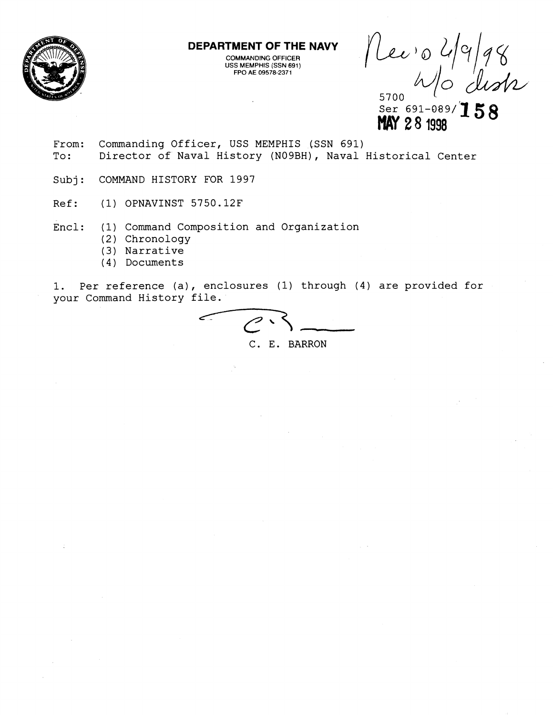

**DEPARTMENT OF THE NAVY** 

**COMMANDING OFFICER USS MEMPHIS (SSN 691) FPO A€ 09578-2371** 

 $\begin{array}{c} \text{Re} \nu \text{,} 2/9/98 \\ \text{MeV} \text{,} 28.1998 \text{ Hz} \end{array}$ 

- From: Commanding Officer, USS MEMPHIS (SSN 691) To: Director of Naval History (NOgBH), Naval Historical Center
- Subj: COMMAND HISTORY FOR 1997
- Ref: (1) OPNAVINST 5750.12F
- Encl: (1) Command Composition and Organization
	- (2) Chronology
	- (3) Narrative
	- ( 4 ) Documents

1. Per reference (a), enclosures (1) through (4) are provided for your Command History file.

C. E. BARRON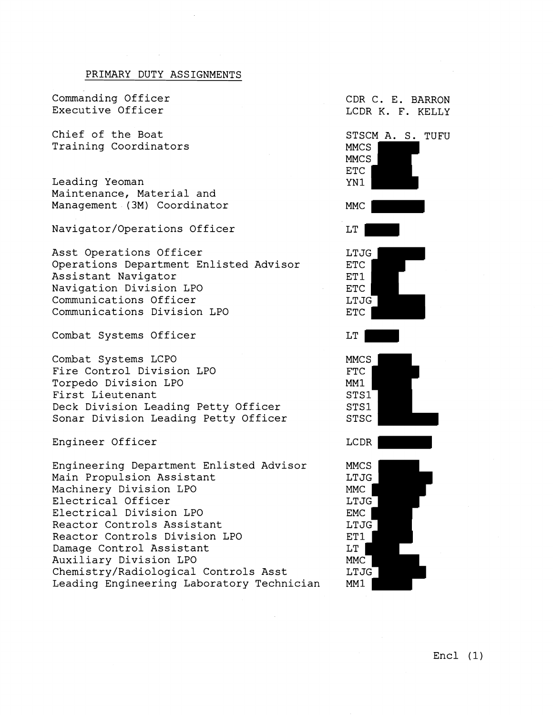## PRIMARY DUTY ASSIGNMENTS

Commanding Officer Executive Officer

Chief of the Boat Training Coordinators

Leading Yeoman Maintenance, Material and Management (3M) Coordinator

Navigator/Operations Officer

Asst Operations Officer Operations Department Enlisted Advisor Assistant Navigator Navigation Division LPO Communications Officer Communications Division LPO

Combat Systems Officer

Combat Systems LCPO Fire Control Division LPO Torpedo Division LPO First Lieutenant Deck Division Leading Petty Officer Sonar Division Leading Petty Officer

Engineer Officer

Engineering Department Enlisted Advisor Main Propulsion Assistant Machinery Division LPO Electrical Officer Electrical Division LPO Reactor Controls Assistant Reactor Controls Division LPO Damage Control Assistant Auxiliary Division LPO Chemistry/Radiological Controls Asst Leading Engineering Laboratory Technician CDR C. E. BARRON LCDR K. F. KELLY



 $LT$ MMC | LTJG MM1